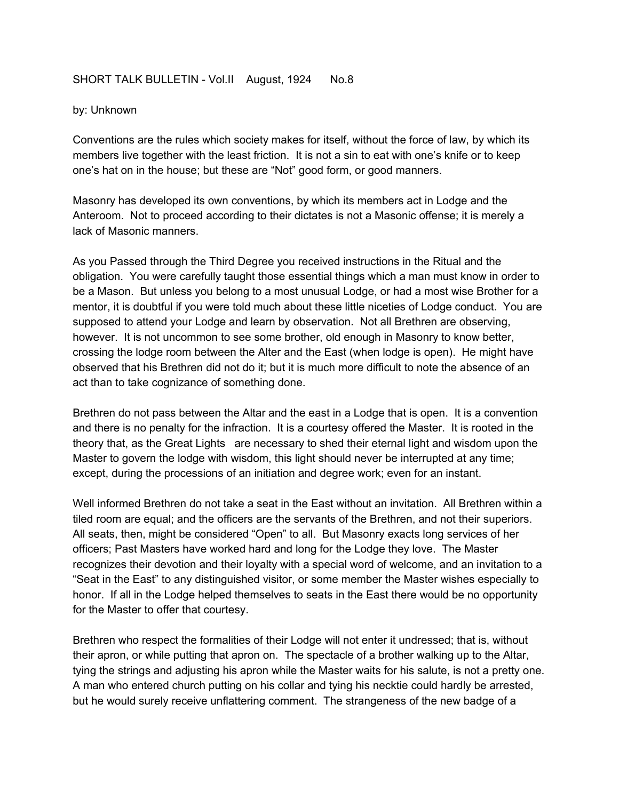## SHORT TALK BULLETIN - Vol.II August, 1924 No.8

## by: Unknown

Conventions are the rules which society makes for itself, without the force of law, by which its members live together with the least friction. It is not a sin to eat with one's knife or to keep one's hat on in the house; but these are "Not" good form, or good manners.

Masonry has developed its own conventions, by which its members act in Lodge and the Anteroom. Not to proceed according to their dictates is not a Masonic offense; it is merely a lack of Masonic manners.

As you Passed through the Third Degree you received instructions in the Ritual and the obligation. You were carefully taught those essential things which a man must know in order to be a Mason. But unless you belong to a most unusual Lodge, or had a most wise Brother for a mentor, it is doubtful if you were told much about these little niceties of Lodge conduct. You are supposed to attend your Lodge and learn by observation. Not all Brethren are observing, however. It is not uncommon to see some brother, old enough in Masonry to know better, crossing the lodge room between the Alter and the East (when lodge is open). He might have observed that his Brethren did not do it; but it is much more difficult to note the absence of an act than to take cognizance of something done.

Brethren do not pass between the Altar and the east in a Lodge that is open. It is a convention and there is no penalty for the infraction. It is a courtesy offered the Master. It is rooted in the theory that, as the Great Lights are necessary to shed their eternal light and wisdom upon the Master to govern the lodge with wisdom, this light should never be interrupted at any time; except, during the processions of an initiation and degree work; even for an instant.

Well informed Brethren do not take a seat in the East without an invitation. All Brethren within a tiled room are equal; and the officers are the servants of the Brethren, and not their superiors. All seats, then, might be considered "Open" to all. But Masonry exacts long services of her officers; Past Masters have worked hard and long for the Lodge they love. The Master recognizes their devotion and their loyalty with a special word of welcome, and an invitation to a "Seat in the East" to any distinguished visitor, or some member the Master wishes especially to honor. If all in the Lodge helped themselves to seats in the East there would be no opportunity for the Master to offer that courtesy.

Brethren who respect the formalities of their Lodge will not enter it undressed; that is, without their apron, or while putting that apron on. The spectacle of a brother walking up to the Altar, tying the strings and adjusting his apron while the Master waits for his salute, is not a pretty one. A man who entered church putting on his collar and tying his necktie could hardly be arrested, but he would surely receive unflattering comment. The strangeness of the new badge of a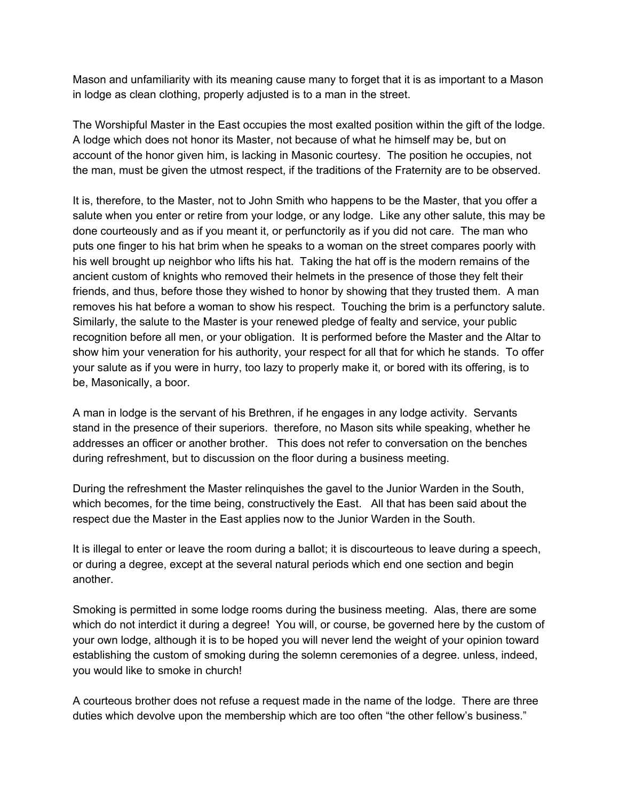Mason and unfamiliarity with its meaning cause many to forget that it is as important to a Mason in lodge as clean clothing, properly adjusted is to a man in the street.

The Worshipful Master in the East occupies the most exalted position within the gift of the lodge. A lodge which does not honor its Master, not because of what he himself may be, but on account of the honor given him, is lacking in Masonic courtesy. The position he occupies, not the man, must be given the utmost respect, if the traditions of the Fraternity are to be observed.

It is, therefore, to the Master, not to John Smith who happens to be the Master, that you offer a salute when you enter or retire from your lodge, or any lodge. Like any other salute, this may be done courteously and as if you meant it, or perfunctorily as if you did not care. The man who puts one finger to his hat brim when he speaks to a woman on the street compares poorly with his well brought up neighbor who lifts his hat. Taking the hat off is the modern remains of the ancient custom of knights who removed their helmets in the presence of those they felt their friends, and thus, before those they wished to honor by showing that they trusted them. A man removes his hat before a woman to show his respect. Touching the brim is a perfunctory salute. Similarly, the salute to the Master is your renewed pledge of fealty and service, your public recognition before all men, or your obligation. It is performed before the Master and the Altar to show him your veneration for his authority, your respect for all that for which he stands. To offer your salute as if you were in hurry, too lazy to properly make it, or bored with its offering, is to be, Masonically, a boor.

A man in lodge is the servant of his Brethren, if he engages in any lodge activity. Servants stand in the presence of their superiors. therefore, no Mason sits while speaking, whether he addresses an officer or another brother. This does not refer to conversation on the benches during refreshment, but to discussion on the floor during a business meeting.

During the refreshment the Master relinquishes the gavel to the Junior Warden in the South, which becomes, for the time being, constructively the East. All that has been said about the respect due the Master in the East applies now to the Junior Warden in the South.

It is illegal to enter or leave the room during a ballot; it is discourteous to leave during a speech, or during a degree, except at the several natural periods which end one section and begin another.

Smoking is permitted in some lodge rooms during the business meeting. Alas, there are some which do not interdict it during a degree! You will, or course, be governed here by the custom of your own lodge, although it is to be hoped you will never lend the weight of your opinion toward establishing the custom of smoking during the solemn ceremonies of a degree. unless, indeed, you would like to smoke in church!

A courteous brother does not refuse a request made in the name of the lodge. There are three duties which devolve upon the membership which are too often "the other fellow's business."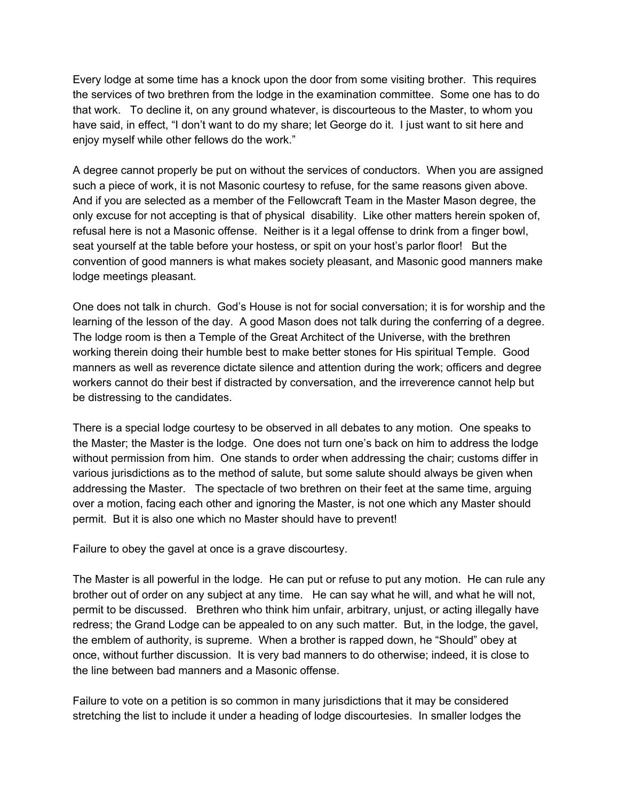Every lodge at some time has a knock upon the door from some visiting brother. This requires the services of two brethren from the lodge in the examination committee. Some one has to do that work. To decline it, on any ground whatever, is discourteous to the Master, to whom you have said, in effect, "I don't want to do my share; let George do it. I just want to sit here and enjoy myself while other fellows do the work."

A degree cannot properly be put on without the services of conductors. When you are assigned such a piece of work, it is not Masonic courtesy to refuse, for the same reasons given above. And if you are selected as a member of the Fellowcraft Team in the Master Mason degree, the only excuse for not accepting is that of physical disability. Like other matters herein spoken of, refusal here is not a Masonic offense. Neither is it a legal offense to drink from a finger bowl, seat yourself at the table before your hostess, or spit on your host's parlor floor! But the convention of good manners is what makes society pleasant, and Masonic good manners make lodge meetings pleasant.

One does not talk in church. God's House is not for social conversation; it is for worship and the learning of the lesson of the day. A good Mason does not talk during the conferring of a degree. The lodge room is then a Temple of the Great Architect of the Universe, with the brethren working therein doing their humble best to make better stones for His spiritual Temple. Good manners as well as reverence dictate silence and attention during the work; officers and degree workers cannot do their best if distracted by conversation, and the irreverence cannot help but be distressing to the candidates.

There is a special lodge courtesy to be observed in all debates to any motion. One speaks to the Master; the Master is the lodge. One does not turn one's back on him to address the lodge without permission from him. One stands to order when addressing the chair; customs differ in various jurisdictions as to the method of salute, but some salute should always be given when addressing the Master. The spectacle of two brethren on their feet at the same time, arguing over a motion, facing each other and ignoring the Master, is not one which any Master should permit. But it is also one which no Master should have to prevent!

Failure to obey the gavel at once is a grave discourtesy.

The Master is all powerful in the lodge. He can put or refuse to put any motion. He can rule any brother out of order on any subject at any time. He can say what he will, and what he will not, permit to be discussed. Brethren who think him unfair, arbitrary, unjust, or acting illegally have redress; the Grand Lodge can be appealed to on any such matter. But, in the lodge, the gavel, the emblem of authority, is supreme. When a brother is rapped down, he "Should" obey at once, without further discussion. It is very bad manners to do otherwise; indeed, it is close to the line between bad manners and a Masonic offense.

Failure to vote on a petition is so common in many jurisdictions that it may be considered stretching the list to include it under a heading of lodge discourtesies. In smaller lodges the